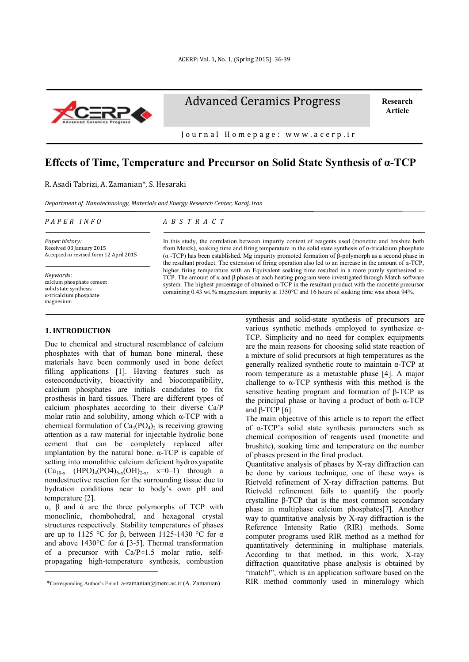

Advanced Ceramics Progress

**Research Article**

J o u r n a l H o m e p a g e : w w w . a c e r p . i r

# **Effects of Time, Temperature and Precursor on Solid State Synthesis of α-TCP**

R. Asadi Tabrizi, A. Zamanian\*, S. Hesaraki

*Department of Nanotechnology, Materials and Energy Research Center, Karaj, Iran*

#### *P A P E R I N F O*

*A B S T R A C T*

*Paper history:* Received 03 January 2015 Accepted in revised form 12 April 2015

*Keywords*: calcium phosphate cement solid state synthesis α-tricalcium phosphate magnesium

### **1. INTRODUCTION**

-

Due to chemical and structural resemblance of calcium phosphates with that of human bone mineral, these materials have been commonly used in bone defect filling applications [1]. Having features such as osteoconductivity, bioactivity and biocompatibility, calcium phosphates are initials candidates to fix prosthesis in hard tissues. There are different types of calcium phosphates according to their diverse Ca/P molar ratio and solubility, among which α-TCP with a chemical formulation of  $Ca_3(PO_4)$  is receiving growing attention as a raw material for injectable hydrolic bone cement that can be completely replaced after implantation by the natural bone.  $α$ -TCP is capable of setting into monolithic calcium deficient hydroxyapatite  $(Ca_{10-x}$  (HPO)<sub>4</sub>(PO4)<sub>6-x</sub>(OH)<sub>2-x</sub>, x=0-1) through a nondestructive reaction for the surrounding tissue due to hydration conditions near to body's own pH and temperature [2].

α, β and ά are the three polymorphs of TCP with monoclinic, rhombohedral, and hexagonal crystal structures respectively. Stability temperatures of phases are up to 1125 °C for β, between 1125-1430 °C for α and above 1430°C for ά [3-5]. Thermal transformation of a precursor with Ca/P≈1.5 molar ratio, selfpropagating high-temperature synthesis, combustion

In this study, the correlation between impurity content of reagents used (monetite and brushite both from Merck), soaking time and firing temperature in the solid state synthesis of α-tricalcium phosphate (α -TCP) has been established. Mg impurity promoted formation of β-polymorph as a second phase in the resultant product. The extension of firing operation also led to an increase in the amount of α-TCP, higher firing temperature with an Equivalent soaking time resulted in a more purely synthesized α-TCP. The amount of  $\alpha$  and  $\beta$  phases at each heating program were investigated through Match software system. The highest percentage of obtained α-TCP in the resultant product with the monetite precursor containing 0.43 wt.% magnesium impurity at 1350°C and 16 hours of soaking time was about 94%.

> synthesis and solid-state synthesis of precursors are various synthetic methods employed to synthesize α-TCP. Simplicity and no need for complex equipments are the main reasons for choosing solid state reaction of a mixture of solid precursors at high temperatures as the generally realized synthetic route to maintain α-TCP at room temperature as a metastable phase [4]. A major challenge to  $\alpha$ -TCP synthesis with this method is the sensitive heating program and formation of β-TCP as the principal phase or having a product of both α-TCP and β-TCP  $[6]$ .

> The main objective of this article is to report the effect of α-TCP's solid state synthesis parameters such as chemical composition of reagents used (monetite and brushite), soaking time and temperature on the number of phases present in the final product.

> Quantitative analysis of phases by X-ray diffraction can be done by various technique, one of these ways is Rietveld refinement of X-ray diffraction patterns. But Rietveld refinement fails to quantify the poorly crystalline β-TCP that is the most common secondary phase in multiphase calcium phosphates[7]. Another way to quantitative analysis by X-ray diffraction is the Reference Intensity Ratio (RIR) methods. Some computer programs used RIR method as a method for quantitatively determining in multiphase materials. According to that method, in this work, X-ray diffraction quantitative phase analysis is obtained by "match!", which is an application software based on the RIR method commonly used in mineralogy which

<sup>1</sup> \*Corresponding Author's Email: a-zamanian@merc.ac.ir (A. Zamanian)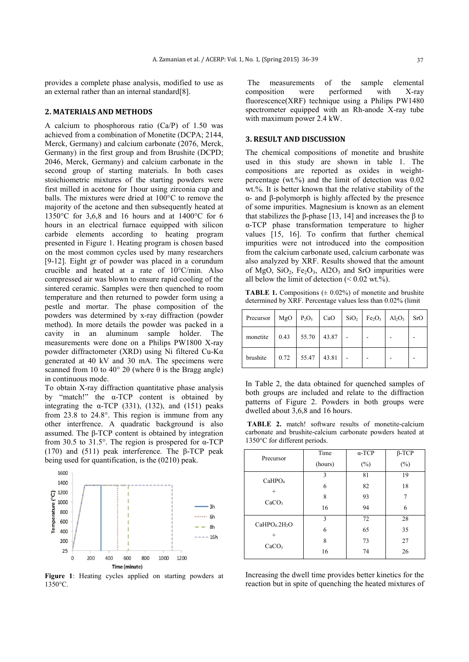provides a complete phase analysis, modified to use as an external rather than an internal standard[8].

#### **2. MATERIALS AND METHODS**

A calcium to phosphorous ratio (Ca/P) of 1.50 was achieved from a combination of Monetite (DCPA; 2144, Merck, Germany) and calcium carbonate (2076, Merck) Germany) in the first group and from Brushite (DCPD; 2046, Merck, Germany) and calcium carbonate in the second group of starting materials. In both cases stoichiometric mixtures of the starting powders were first milled in acetone for 1hour using zirconia cup and balls. The mixtures were dried at 100°C to remove the majority of the acetone and then subsequently heated at 1350°C for 3,6,8 and 16 hours and at 1400°C for 6 hours in an electrical furnace equipped with silicon carbide elements according to heating program presented in Figure 1. Heating program is chosen based on the most common cycles used by many researchers [9-12]. Eight gr of powder was placed in a corundum crucible and heated at a rate of 10°C/min. Also compressed air was blown to ensure rapid cooling of the sintered ceramic. Samples were then quenched to room temperature and then returned to powder form using a pestle and mortar. The phase composition of the powders was determined by x-ray diffraction (powder method). In more details the powder was packed in a cavity in an aluminum sample holder. The measurements were done on a Philips PW1800 X-ray powder diffractometer (XRD) using Ni filtered Cu-Kα generated at 40 kV and 30 mA. The specimens were scanned from 10 to 40 $\degree$  2θ (where θ is the Bragg angle) in continuous mode.

To obtain X-ray diffraction quantitative phase analysis by "match!" the  $\alpha$ -TCP content is obtained by integrating the  $\alpha$ -TCP (331), (132), and (151) peaks from 23.8 to 24.8°. This region is immune from any other interfrence. A quadratic background is also assumed. The β-TCP content is obtained by integration from 30.5 to 31.5°. The region is prospered for  $\alpha$ -TCP (170) and (511) peak interference. The β-TCP peak being used for quantification, is the (0210) peak.



**Figure 1**: Heating cycles applied on starting powders at 1350°C.

The measurements of the sample elemental composition were performed with X-ray fluorescence(XRF) technique using a Philips PW1480 spectrometer equipped with an Rh-anode X-ray tube with maximum power 2.4 kW.

## **3. RESULT AND DISCUSSION**

The chemical compositions of monetite and brushite used in this study are shown in table 1. The compositions are reported as oxides in weightpercentage (wt.%) and the limit of detection was 0.02 wt.%. It is better known that the relative stability of the α- and β-polymorph is highly affected by the presence of some impurities. Magnesium is known as an element that stabilizes the β-phase [13, 14] and increases the β to α-TCP phase transformation temperature to higher values [15, 16]. To confirm that further chemical impurities were not introduced into the composition from the calcium carbonate used, calcium carbonate was also analyzed by XRF. Results showed that the amount of MgO,  $SiO<sub>2</sub>$ ,  $Fe<sub>2</sub>O<sub>3</sub>$ , Al2O<sub>3</sub> and SrO impurities were all below the limit of detection  $(< 0.02 \text{ wt.}\%)$ .

**TABLE 1.** Compositions  $(± 0.02%)$  of monetite and brushite determined by XRF. Percentage values less than 0.02% (limit

| Precursor | MgO  | $P_2O_5$ | CaO   | $SiO2$ $Fe2O3$ $Al2O3$ | <b>SrO</b> |
|-----------|------|----------|-------|------------------------|------------|
| monetite  | 0.43 | 55.70    | 43.87 |                        |            |
| brushite  | 0.72 | 55.47    | 43.81 |                        |            |

In Table 2, the data obtained for quenched samples of both groups are included and relate to the diffraction patterns of Figure 2. Powders in both groups were dwelled about 3,6,8 and 16 hours.

**TABLE 2.** match! software results of monetite-calcium carbonate and brushite-calcium carbonate powders heated at 1350°C for different periods.

| Precursor                                                            | Time<br>(hours)   | $\alpha$ -TCP<br>$(\%)$ | $\beta$ -TCP<br>$(\% )$ |
|----------------------------------------------------------------------|-------------------|-------------------------|-------------------------|
| CaHPO <sub>4</sub><br>$^{+}$<br>CaCO <sub>3</sub>                    | 3<br>6<br>8<br>16 | 81<br>82<br>93<br>94    | 19<br>18<br>6           |
| CaHPO <sub>4</sub> .2H <sub>2</sub> O<br>$^{+}$<br>CaCO <sub>3</sub> | 3<br>6<br>8<br>16 | 72<br>65<br>73<br>74    | 28<br>35<br>27<br>26    |

Increasing the dwell time provides better kinetics for the reaction but in spite of quenching the heated mixtures of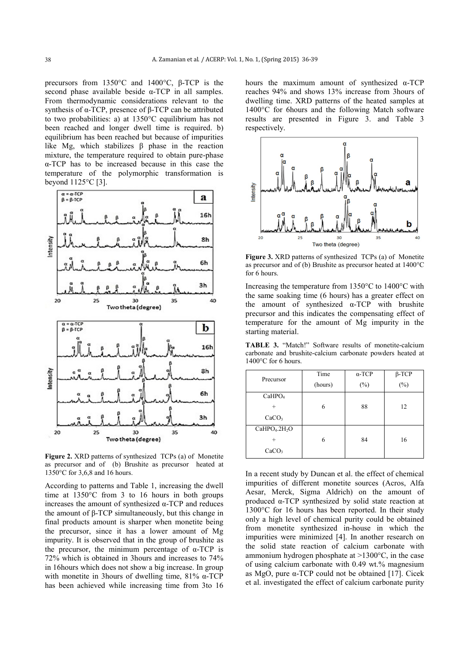precursors from 1350°C and 1400°C, β-TCP is the second phase available beside  $\alpha$ -TCP in all samples. From thermodynamic considerations relevant to the synthesis of α-TCP, presence of β-TCP can be attributed to two probabilities: a) at 1350°C equilibrium has not been reached and longer dwell time is required. b) equilibrium has been reached but because of impurities like Mg, which stabilizes  $β$  phase in the reaction mixture, the temperature required to obtain pure-phase α-TCP has to be increased because in this case the temperature of the polymorphic transformation is beyond 1125°C [3].



**Figure 2.** XRD patterns of synthesized TCPs (a) of Monetite as precursor and of (b) Brushite as precursor heated at 1350°C for 3,6,8 and 16 hours.

According to patterns and Table 1, increasing the dwell time at 1350°C from 3 to 16 hours in both groups increases the amount of synthesized α-TCP and reduces the amount of β-TCP simultaneously, but this change in final products amount is sharper when monetite being the precursor, since it has a lower amount of Mg impurity. It is observed that in the group of brushite as the precursor, the minimum percentage of  $\alpha$ -TCP is 72% which is obtained in 3hours and increases to 74% in 16hours which does not show a big increase. In group with monetite in 3hours of dwelling time,  $81\%$  α-TCP has been achieved while increasing time from 3to 16

hours the maximum amount of synthesized  $\alpha$ -TCP reaches 94% and shows 13% increase from 3hours of dwelling time. XRD patterns of the heated samples at 1400°C for 6hours and the following Match software results are presented in Figure 3. and Table 3 respectively.



**Figure 3.** XRD patterns of synthesized TCPs (a) of Monetite as precursor and of (b) Brushite as precursor heated at 1400°C for 6 hours.

Increasing the temperature from 1350°C to 1400°C with the same soaking time (6 hours) has a greater effect on the amount of synthesized  $\alpha$ -TCP with brushite precursor and this indicates the compensating effect of temperature for the amount of Mg impurity in the starting material.

**TABLE 3.** "Match!" Software results of monetite-calcium carbonate and brushite-calcium carbonate powders heated at 1400°C for 6 hours.

| Precursor                             | Time    | $\alpha$ -TCP | $\beta$ -TCP |  |
|---------------------------------------|---------|---------------|--------------|--|
|                                       | (hours) | $(\%)$        | $(\%)$       |  |
| CaHPO <sub>4</sub>                    |         |               |              |  |
| $^{+}$                                | 6       | 88            | 12           |  |
| CaCO <sub>3</sub>                     |         |               |              |  |
| CaHPO <sub>4</sub> .2H <sub>2</sub> O |         |               |              |  |
|                                       | 6       | 84            | 16           |  |
| CaCO <sub>3</sub>                     |         |               |              |  |

In a recent study by Duncan et al. the effect of chemical impurities of different monetite sources (Acros, Alfa Aesar, Merck, Sigma Aldrich) on the amount of produced α-TCP synthesized by solid state reaction at 1300°C for 16 hours has been reported. In their study only a high level of chemical purity could be obtained from monetite synthesized in-house in which the impurities were minimized [4]. In another research on the solid state reaction of calcium carbonate with ammonium hydrogen phosphate at >1300°C, in the case of using calcium carbonate with 0.49 wt.% magnesium as MgO, pure α-TCP could not be obtained [17]. Cicek et al. investigated the effect of calcium carbonate purity